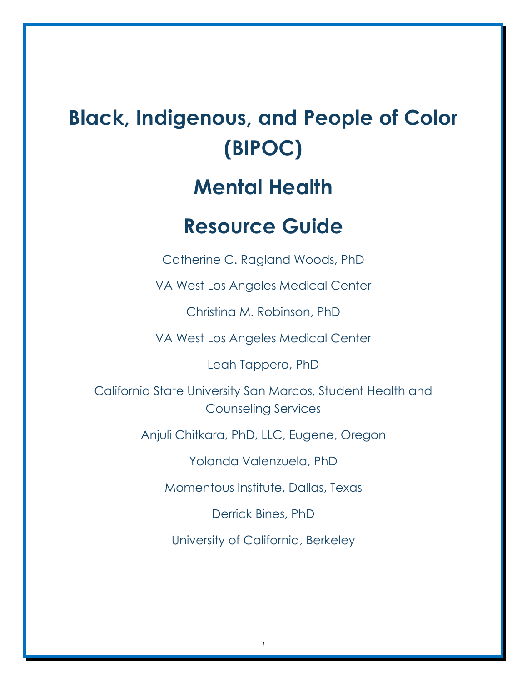# **Black, Indigenous, and People of Color (BIPOC)**

# **Mental Health**

# **Resource Guide**

Catherine C. Ragland Woods, PhD

VA West Los Angeles Medical Center

Christina M. Robinson, PhD

VA West Los Angeles Medical Center

Leah Tappero, PhD

California State University San Marcos, Student Health and Counseling Services

Anjuli Chitkara, PhD, LLC, Eugene, Oregon

Yolanda Valenzuela, PhD

Momentous Institute, Dallas, Texas

Derrick Bines, PhD

University of California, Berkeley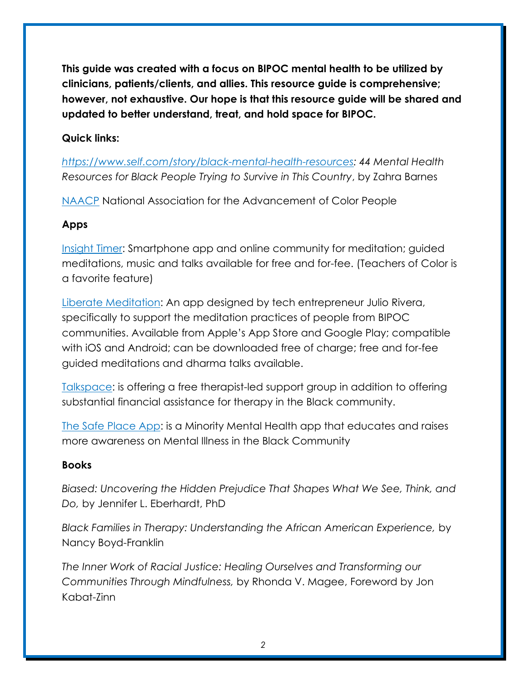**This guide was created with a focus on BlPOC mental health to be utilized by clinicians, patients/clients, and allies. This resource guide is comprehensive; however, not exhaustive. Our hope is that this resource guide will be shared and updated to better understand, treat, and hold space for BIPOC.**

### **Quick links:**

*[https://www.self.com/story/black-mental-health-resources:](https://www.self.com/story/black-mental-health-resources) 44 Mental Health Resources for Black People Trying to Survive in This Country*, by Zahra Barnes

[NAACP](https://www.naacp.org/) National Association for the Advancement of Color People

### **Apps**

[Insight Timer:](https://insighttimer.com/meditation-app) Smartphone app and online community for meditation; guided meditations, music and talks available for free and for-fee. (Teachers of Color is a favorite feature)

[Liberate Meditation:](https://liberatemeditation.com/) An app designed by tech entrepreneur Julio Rivera, specifically to support the meditation practices of people from BIPOC communities. Available from Apple's App Store and Google Play; compatible with iOS and Android; can be downloaded free of charge; free and for-fee guided meditations and dharma talks available.

[Talkspace:](https://www.talkspace.com/blog/talkspace-black-lives-matter/) is offering a free therapist-led support group in addition to offering substantial financial assistance for therapy in the Black community.

[The Safe Place App:](https://blackgirlnerds.com/minority-mental-health-app-the-safe-place/) is a Minority Mental Health app that educates and raises more awareness on Mental Illness in the Black Community

#### **Books**

*Biased: Uncovering the Hidden Prejudice That Shapes What We See, Think, and Do,* by Jennifer L. Eberhardt, PhD

*Black Families in Therapy: Understanding the African American Experience,* by Nancy Boyd-Franklin

*The Inner Work of Racial Justice: Healing Ourselves and Transforming our Communities Through Mindfulness,* by Rhonda V. Magee, Foreword by Jon Kabat-Zinn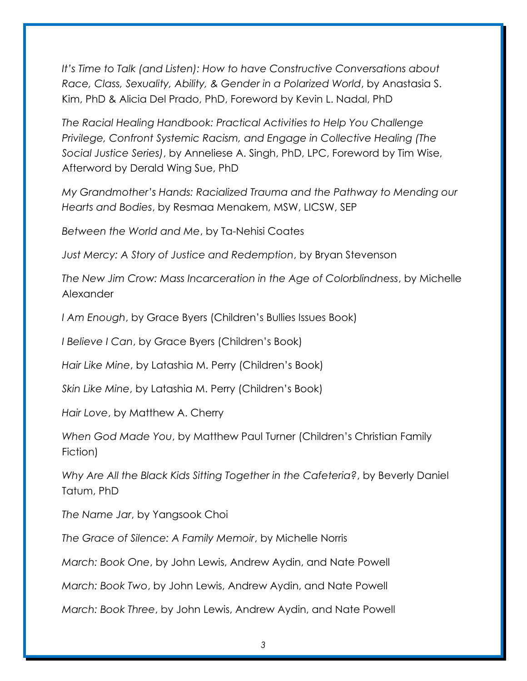*It's Time to Talk (and Listen): How to have Constructive Conversations about Race, Class, Sexuality, Ability, & Gender in a Polarized World*, by Anastasia S. Kim, PhD & Alicia Del Prado, PhD, Foreword by Kevin L. Nadal, PhD

*The Racial Healing Handbook: Practical Activities to Help You Challenge Privilege, Confront Systemic Racism, and Engage in Collective Healing (The Social Justice Series)*, by Anneliese A. Singh, PhD, LPC, Foreword by Tim Wise, Afterword by Derald Wing Sue, PhD

*My Grandmother's Hands: Racialized Trauma and the Pathway to Mending our Hearts and Bodies*, by Resmaa Menakem, MSW, LICSW, SEP

*Between the World and Me*, by Ta-Nehisi Coates

*Just Mercy: A Story of Justice and Redemption*, by Bryan Stevenson

*The New Jim Crow: Mass Incarceration in the Age of Colorblindness*, by Michelle Alexander

*I Am Enough*, by Grace Byers (Children's Bullies Issues Book)

*I Believe I Can*, by Grace Byers (Children's Book)

*Hair Like Mine*, by Latashia M. Perry (Children's Book)

*Skin Like Mine*, by Latashia M. Perry (Children's Book)

*Hair Love*, by Matthew A. Cherry

*When God Made You*, by Matthew Paul Turner (Children's Christian Family Fiction)

*Why Are All the Black Kids Sitting Together in the Cafeteria?*, by Beverly Daniel Tatum, PhD

*The Name Jar*, by Yangsook Choi

*The Grace of Silence: A Family Memoir*, by Michelle Norris

*March: Book One*, by John Lewis, Andrew Aydin, and Nate Powell

*March: Book Two*, by John Lewis, Andrew Aydin, and Nate Powell

*March: Book Three*, by John Lewis, Andrew Aydin, and Nate Powell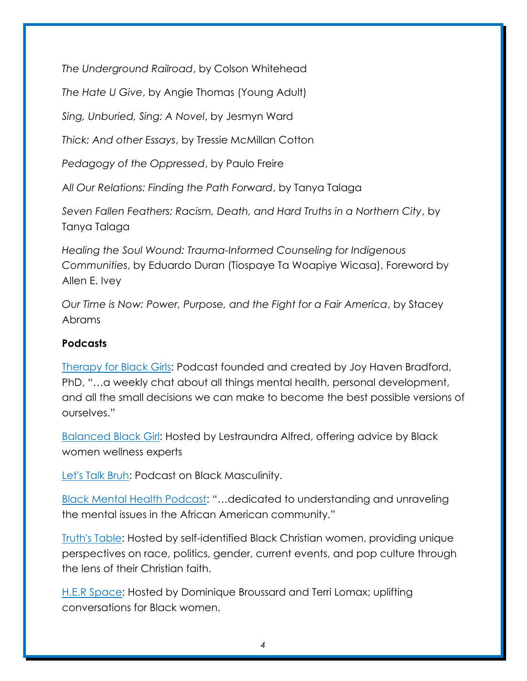*The Underground Railroad*, by Colson Whitehead

*The Hate U Give*, by Angie Thomas (Young Adult)

*Sing, Unburied, Sing: A Novel*, by Jesmyn Ward

*Thick: And other Essays*, by Tressie McMillan Cotton

*Pedagogy of the Oppressed*, by Paulo Freire

A*ll Our Relations: Finding the Path Forward*, by Tanya Talaga

*Seven Fallen Feathers: Racism, Death, and Hard Truths in a Northern City*, by Tanya Talaga

*Healing the Soul Wound: Trauma-Informed Counseling for Indigenous Communities*, by Eduardo Duran (Tiospaye Ta Woapiye Wicasa), Foreword by Allen E. Ivey

*Our Time is Now: Power, Purpose, and the Fight for a Fair America*, by Stacey Abrams

#### **Podcasts**

[Therapy for Black Girls:](https://therapyforblackgirls.com/podcast/) Podcast founded and created by Joy Haven Bradford, PhD, "…a weekly chat about all things mental health, personal development, and all the small decisions we can make to become the best possible versions of ourselves."

[Balanced Black Girl:](https://podcasts.apple.com/us/podcast/balanced-black-girl/id1438982040) Hosted by Lestraundra Alfred, offering advice by Black women wellness experts

[Let's Talk Bruh:](https://letstalkbruh.libsyn.com/) Podcast on Black Masculinity.

[Black Mental Health Podcast:](https://blackmentalhealthpodcast.libsyn.com/) "…dedicated to understanding and unraveling the mental issues in the African American community."

[Truth's Table:](https://www.truthstable.com/podcast) Hosted by self-identified Black Christian women, providing unique perspectives on race, politics, gender, current events, and pop culture through the lens of their Christian faith.

[H.E.R Space:](https://herspacepodcast.com/) Hosted by Dominique Broussard and Terri Lomax; uplifting conversations for Black women.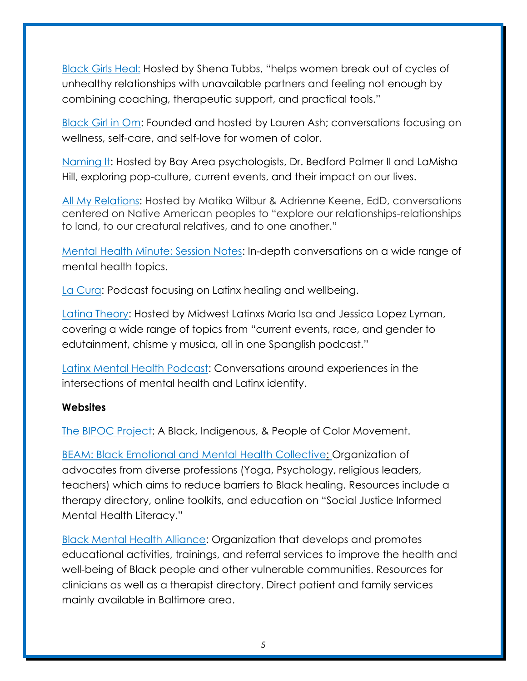[Black Girls Heal:](https://podcasts.apple.com/us/podcast/black-girls-heal/id1448286071) Hosted by Shena Tubbs, "helps women break out of cycles of unhealthy relationships with unavailable partners and feeling not enough by combining coaching, therapeutic support, and practical tools."

[Black Girl in Om:](https://podcasts.apple.com/us/podcast/black-girl-in-om/id1117951237) Founded and hosted by Lauren Ash; conversations focusing on wellness, self-care, and self-love for women of color.

[Naming It:](http://www.namingitpodcast.com/) Hosted by Bay Area psychologists, Dr. Bedford Palmer II and LaMisha Hill, exploring pop-culture, current events, and their impact on our lives.

[All My Relations:](https://www.allmyrelationspodcast.com/) Hosted by Matika Wilbur & Adrienne Keene, EdD, conversations centered on Native American peoples to "explore our relationships-relationships to land, to our creatural relatives, and to one another."

[Mental Health Minute: Session Notes:](https://podcasts.apple.com/us/podcast/our-mental-health-minute-session-notes/id1493833007) In-depth conversations on a wide range of mental health topics.

[La Cura:](https://podcasts.apple.com/us/podcast/la-cura/id1454543749) Podcast focusing on Latinx healing and wellbeing.

[Latina Theory:](https://podcasts.apple.com/us/podcast/latina-theory/id1332250553) Hosted by Midwest Latinxs Maria Isa and Jessica Lopez Lyman, covering a wide range of topics from "current events, race, and gender to edutainment, chisme y musica, all in one Spanglish podcast."

[Latinx Mental Health Podcast:](https://www.latinxmhpodcast.com/episodes.html) Conversations around experiences in the intersections of mental health and Latinx identity.

#### **Websites**

[The BIPOC Project:](https://www.thebipocproject.org/) A Black, Indigenous, & People of Color Movement.

[BEAM: Black Emotional and Mental Health Collective:](https://www.beam.community/) Organization of advocates from diverse professions (Yoga, Psychology, religious leaders, teachers) which aims to reduce barriers to Black healing. Resources include a therapy directory, online toolkits, and education on "Social Justice Informed Mental Health Literacy."

[Black Mental Health Alliance:](https://www.blackmentalhealth.com/) Organization that develops and promotes educational activities, trainings, and referral services to improve the health and well-being of Black people and other vulnerable communities. Resources for clinicians as well as a therapist directory. Direct patient and family services mainly available in Baltimore area.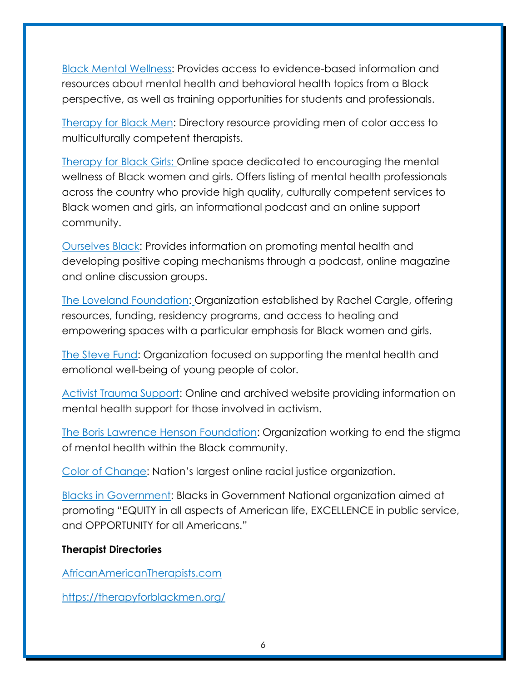[Black Mental Wellness:](https://www.blackmentalwellness.com/) Provides access to evidence-based information and resources about mental health and behavioral health topics from a Black perspective, as well as training opportunities for students and professionals.

[Therapy for Black Men:](https://therapyforblackmen.org/) Directory resource providing men of color access to multiculturally competent therapists.

[Therapy for Black Girls:](https://therapyforblackgirls.com/) Online space dedicated to encouraging the mental wellness of Black women and girls. Offers listing of mental health professionals across the country who provide high quality, culturally competent services to Black women and girls, an informational podcast and an online support community.

[Ourselves Black:](http://www.ourselvesblack.com/) Provides information on promoting mental health and developing positive coping mechanisms through a podcast, online magazine and online discussion groups.

[The Loveland Foundation:](https://thelovelandfoundation.org/) Organization established by Rachel Cargle, offering resources, funding, residency programs, and access to healing and empowering spaces with a particular emphasis for Black women and girls.

[The Steve Fund:](https://www.stevefund.org/) Organization focused on supporting the mental health and emotional well-being of young people of color.

[Activist Trauma Support:](https://www.activist-trauma.net/) Online and archived website providing information on mental health support for those involved in activism.

[The Boris Lawrence Henson](https://borislhensonfoundation.org/) Foundation: Organization working to end the stigma of mental health within the Black community.

[Color of Change](https://colorofchange.org/about/): Nation's largest online racial justice organization.

[Blacks in Government:](http://bignet.org/index.php/home) Blacks in Government National organization aimed at promoting "EQUITY in all aspects of American life, EXCELLENCE in public service, and OPPORTUNITY for all Americans."

#### **Therapist Directories**

[AfricanAmericanTherapists.com](http://africanamericantherapists.com/african-american-therapists-directory/)

<https://therapyforblackmen.org/>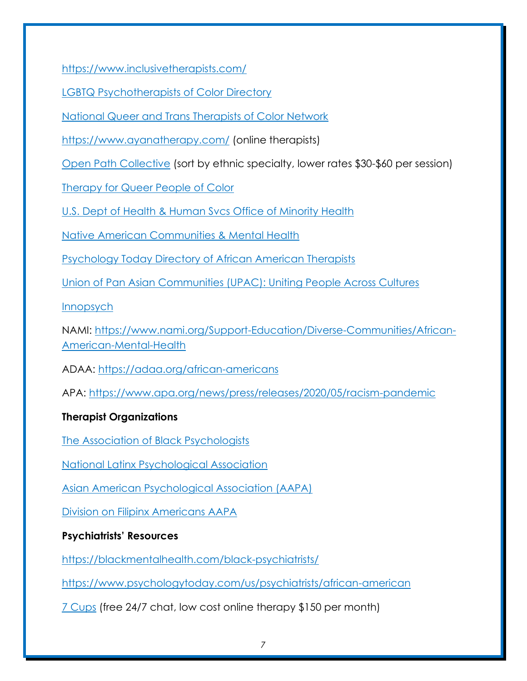<https://www.inclusivetherapists.com/>

[LGBTQ Psychotherapists of Color Directory](https://www.lgbtqpsychotherapistsofcolor.com/)

[National Queer and Trans Therapists of Color Network](https://www.nqttcn.com/directory)

<https://www.ayanatherapy.com/> (online therapists)

[Open Path Collective](https://openpathcollective.org/) (sort by ethnic specialty, lower rates \$30-\$60 per session)

[Therapy for Queer People of Color](https://therapyforqpoc.com/qpoc-therapist-directory-1#!directory)

[U.S. Dept of Health & Human Svcs Office of Minority Health](https://www.minorityhealth.hhs.gov/omh/browse.aspx?lvl=3&lvlid=14)

[Native American Communities & Mental Health](https://www.mhanational.org/issues/native-american-communities-and-mental-health)

[Psychology Today Directory of African American Therapists](https://www.psychologytoday.com/us/therapists/african-american)

[Union of Pan Asian Communities \(UPAC\): Uniting People Across Cultures](http://www.upacsd.com/)

**[Innopsych](https://www.innopsych.com/findatherapist)** 

NAMI: [https://www.nami.org/Support-Education/Diverse-Communities/African-](https://www.nami.org/Support-Education/Diverse-Communities/African-American-Mental-Health)[American-Mental-Health](https://www.nami.org/Support-Education/Diverse-Communities/African-American-Mental-Health)

ADAA:<https://adaa.org/african-americans>

APA: <https://www.apa.org/news/press/releases/2020/05/racism-pandemic>

# **Therapist Organizations**

The Association [of Black Psychologists](http://www.abpsi.org/)

[National Latinx Psychological Association](https://www.nlpa.ws/)

[Asian American Psychological Association \(AAPA\)](https://aapaonline.org/)

[Division on Filipinx Americans AAPA](https://aapaonline.org/divisions/division-on-filipinx-americans/)

# **Psychiatrists' Resources**

<https://blackmentalhealth.com/black-psychiatrists/>

<https://www.psychologytoday.com/us/psychiatrists/african-american>

[7 Cups](https://www.7cups.com/) (free 24/7 chat, low cost online therapy \$150 per month)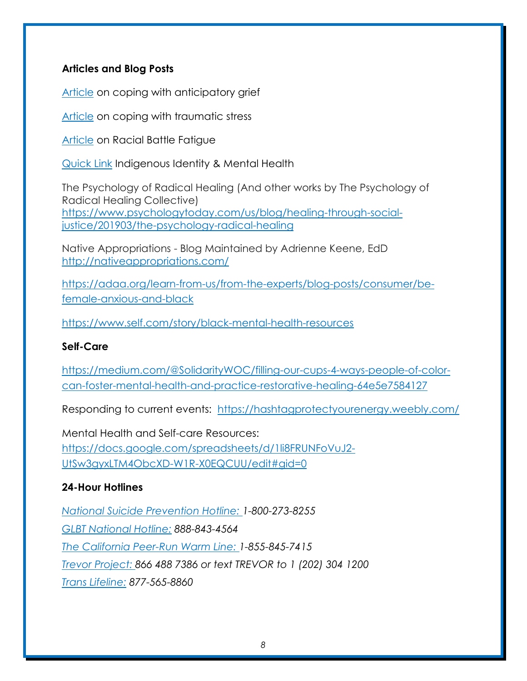#### **Articles and Blog Posts**

[Article](https://www.verywellhealth.com/coping-with-anticipatory-grief-2248856) on coping with anticipatory grief

[Article](https://cardinalatwork.stanford.edu/faculty-staff-help-center/resources/work-related/coping-traumatic-stress) on coping with traumatic stress

[Article](https://medium.com/racial-battle-fatigue/racial-battle-fatigue-what-is-it-and-what-are-the-symptoms-84f79f49ee1e) on Racial Battle Fatigue

[Quick Link](https://www.uml.edu/student-services/Multicultural/Resources/race-mental-health/indigenous.aspx) Indigenous Identity & Mental Health

The Psychology of Radical Healing (And other works by The Psychology of Radical Healing Collective) [https://www.psychologytoday.com/us/blog/healing-through-social](https://www.psychologytoday.com/us/blog/healing-through-social-justice/201903/the-psychology-radical-healing)justice/201903/the-psychology-radical-healina

Native Appropriations - Blog Maintained by Adrienne Keene, EdD <http://nativeappropriations.com/>

[https://adaa.org/learn-from-us/from-the-experts/blog-posts/consumer/be](https://adaa.org/learn-from-us/from-the-experts/blog-posts/consumer/be-female-anxious-and-black)[female-anxious-and-black](https://adaa.org/learn-from-us/from-the-experts/blog-posts/consumer/be-female-anxious-and-black)

<https://www.self.com/story/black-mental-health-resources>

#### **Self-Care**

[https://medium.com/@SolidarityWOC/filling-our-cups-4-ways-people-of-color](https://medium.com/@SolidarityWOC/filling-our-cups-4-ways-people-of-color-can-foster-mental-health-and-practice-restorative-healing-64e5e7584127)[can-foster-mental-health-and-practice-restorative-healing-64e5e7584127](https://medium.com/@SolidarityWOC/filling-our-cups-4-ways-people-of-color-can-foster-mental-health-and-practice-restorative-healing-64e5e7584127)

Responding to current events: <https://hashtagprotectyourenergy.weebly.com/>

Mental Health and Self-care Resources: [https://docs.google.com/spreadsheets/d/1li8FRUNFoVuJ2-](https://docs.google.com/spreadsheets/d/1li8FRUNFoVuJ2-UtSw3gyxLTM4ObcXD-W1R-X0EQCUU/edit#gid=0) [UtSw3gyxLTM4ObcXD-W1R-X0EQCUU/edit#gid=0](https://docs.google.com/spreadsheets/d/1li8FRUNFoVuJ2-UtSw3gyxLTM4ObcXD-W1R-X0EQCUU/edit#gid=0)

#### **24-Hour Hotlines**

*[National Suicide Prevention Hotline: 1](https://suicidepreventionlifeline.org/)-800-273-8255 [GLBT National Hotline:](http://www.glbthotline.org/national-hotline.html) 888-843-4564 [The California Peer-Run Warm Line: 1](https://www.mentalhealthsf.org/)-855-845-7415 [Trevor Project: 8](http://www.thetrevorproject.org/)66 488 7386 or text TREVOR to 1 (202) 304 1200 [Trans Lifeline:](https://www.translifeline.org/) 877-565-8860*